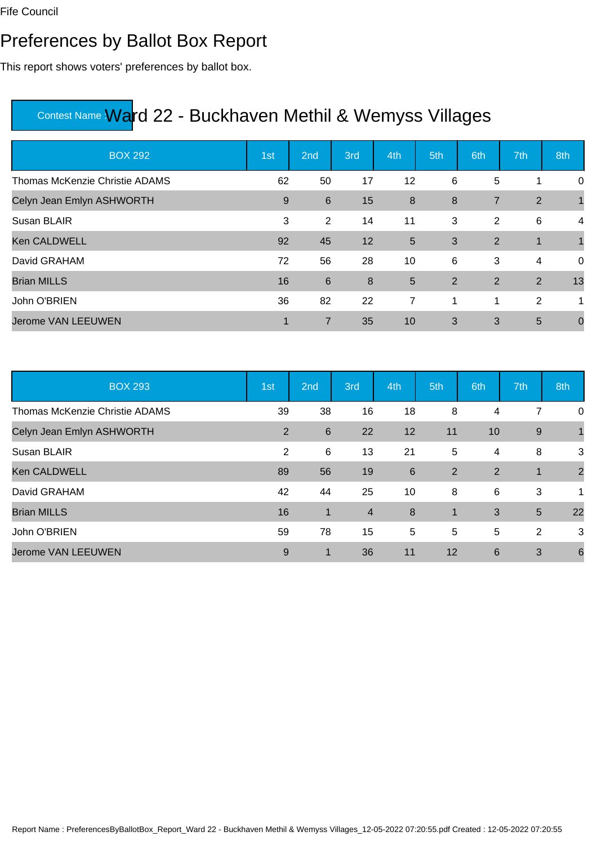#### Preferences by Ballot Box Report

This report shows voters' preferences by ballot box.

| <b>BOX 292</b>                        | 1st | 2 <sub>nd</sub> | 3rd | 4th            | 5th | 6th            | 7th            | 8th         |
|---------------------------------------|-----|-----------------|-----|----------------|-----|----------------|----------------|-------------|
| <b>Thomas McKenzie Christie ADAMS</b> | 62  | 50              | 17  | 12             | 6   | 5              | 1              | 0           |
| Celyn Jean Emlyn ASHWORTH             | 9   | 6               | 15  | 8              | 8   | $\overline{7}$ | 2              | $\mathbf 1$ |
| Susan BLAIR                           | 3   | $\overline{2}$  | 14  | 11             | 3   | 2              | 6              | 4           |
| <b>Ken CALDWELL</b>                   | 92  | 45              | 12  | 5              | 3   | 2              | 1              |             |
| David GRAHAM                          | 72  | 56              | 28  | 10             | 6   | 3              | $\overline{4}$ | 0           |
| <b>Brian MILLS</b>                    | 16  | 6               | 8   | 5              | 2   | $\overline{2}$ | 2              | 13          |
| John O'BRIEN                          | 36  | 82              | 22  | $\overline{7}$ | 1   | 1              | 2              | 1           |
| <b>Jerome VAN LEEUWEN</b>             | 1   | $\overline{7}$  | 35  | 10             | 3   | 3              | 5              | $\mathbf 0$ |

| <b>BOX 293</b>                 | 1st | 2nd             | 3rd            | 4th | 5th         | 6th | 7th   | 8th             |
|--------------------------------|-----|-----------------|----------------|-----|-------------|-----|-------|-----------------|
| Thomas McKenzie Christie ADAMS | 39  | 38              | 16             | 18  | 8           | 4   | 7     | 0               |
| Celyn Jean Emlyn ASHWORTH      | 2   | $6\phantom{1}6$ | 22             | 12  | 11          | 10  | $9\,$ |                 |
| Susan BLAIR                    | 2   | 6               | 13             | 21  | 5           | 4   | 8     | 3               |
| <b>Ken CALDWELL</b>            | 89  | 56              | 19             | 6   | 2           | 2   |       | $\overline{2}$  |
| David GRAHAM                   | 42  | 44              | 25             | 10  | 8           | 6   | 3     | 1               |
| <b>Brian MILLS</b>             | 16  | $\mathbf 1$     | $\overline{4}$ | 8   | $\mathbf 1$ | 3   | 5     | 22              |
| John O'BRIEN                   | 59  | 78              | 15             | 5   | 5           | 5   | 2     | 3               |
| Jerome VAN LEEUWEN             | 9   | 1               | 36             | 11  | 12          | 6   | 3     | $6\phantom{1}6$ |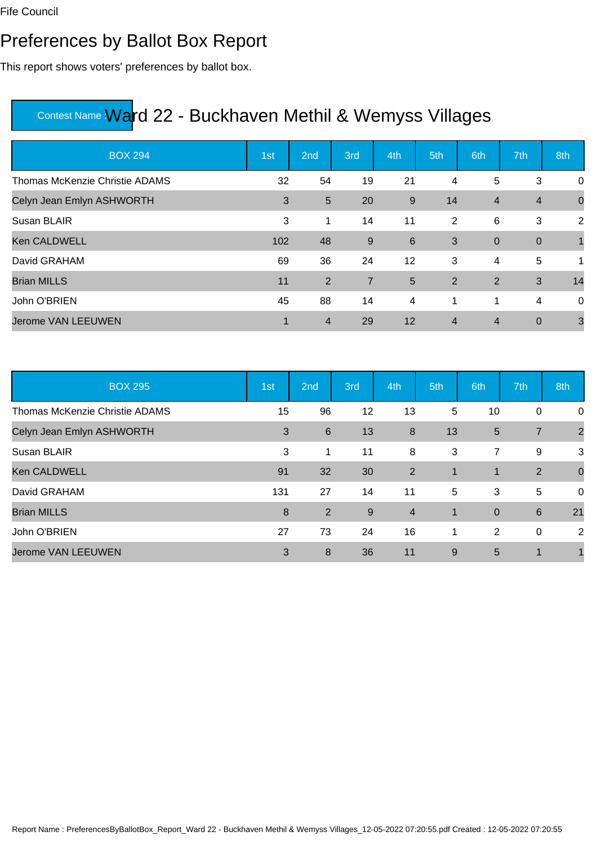#### Preferences by Ballot Box Report

This report shows voters' preferences by ballot box.

| <b>BOX 294</b>                        | 1st | 2nd            | 3rd            | 4th   | 5th            | 6th            | 7th            | 8th            |
|---------------------------------------|-----|----------------|----------------|-------|----------------|----------------|----------------|----------------|
| <b>Thomas McKenzie Christie ADAMS</b> | 32  | 54             | 19             | 21    | 4              | 5              | 3              | 0              |
| Celyn Jean Emlyn ASHWORTH             | 3   | $5\phantom{1}$ | 20             | $9\,$ | 14             | $\overline{4}$ | $\overline{4}$ | $\mathbf 0$    |
| Susan BLAIR                           | 3   | 1              | 14             | 11    | 2              | 6              | 3              | 2              |
| <b>Ken CALDWELL</b>                   | 102 | 48             | 9              | $\,6$ | 3              | $\overline{0}$ | $\overline{0}$ | $\overline{1}$ |
| David GRAHAM                          | 69  | 36             | 24             | 12    | 3              | 4              | 5              | 1              |
| <b>Brian MILLS</b>                    | 11  | 2              | $\overline{7}$ | 5     | 2              | $\overline{2}$ | 3              | 14             |
| John O'BRIEN                          | 45  | 88             | 14             | 4     | 1              | 1              | 4              | 0              |
| <b>Jerome VAN LEEUWEN</b>             |     | $\overline{4}$ | 29             | 12    | $\overline{4}$ | $\overline{4}$ | $\mathbf 0$    | $\mathbf{3}$   |

| <b>BOX 295</b>                 | 1st | 2nd             | 3rd | 4th            | 5th             | 6th            | 7th            | 8th            |
|--------------------------------|-----|-----------------|-----|----------------|-----------------|----------------|----------------|----------------|
| Thomas McKenzie Christie ADAMS | 15  | 96              | 12  | 13             | $5\phantom{.0}$ | 10             | 0              | 0              |
| Celyn Jean Emlyn ASHWORTH      | 3   | $6\phantom{1}6$ | 13  | 8              | 13              | 5              | $\overline{7}$ | $\overline{2}$ |
| Susan BLAIR                    | 3   | 1               | 11  | 8              | 3               | $\overline{7}$ | 9              | 3              |
| <b>Ken CALDWELL</b>            | 91  | 32              | 30  | $\overline{2}$ | 1               | 1              | 2              | $\mathbf 0$    |
| David GRAHAM                   | 131 | 27              | 14  | 11             | 5               | 3              | 5              | 0              |
| <b>Brian MILLS</b>             | 8   | 2               | 9   | $\overline{4}$ | 1               | $\overline{0}$ | 6              | 21             |
| John O'BRIEN                   | 27  | 73              | 24  | 16             | 1               | 2              | 0              | 2              |
| <b>Jerome VAN LEEUWEN</b>      | 3   | 8               | 36  | 11             | 9               | 5              | 1              |                |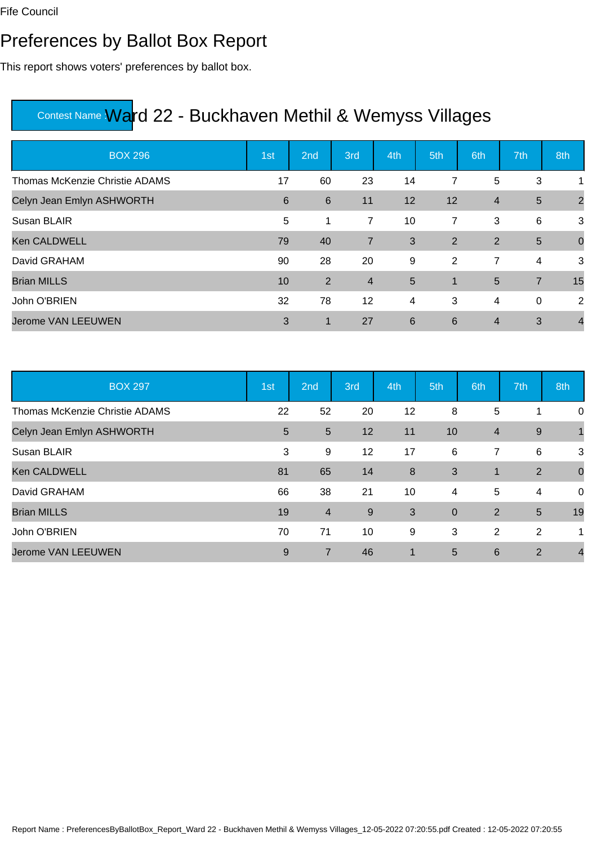#### Preferences by Ballot Box Report

This report shows voters' preferences by ballot box.

| <b>BOX 296</b>                        | 1st | 2 <sub>nd</sub> | 3rd             | 4th             | 5th            | 6th            | 7th             | 8th            |
|---------------------------------------|-----|-----------------|-----------------|-----------------|----------------|----------------|-----------------|----------------|
| <b>Thomas McKenzie Christie ADAMS</b> | 17  | 60              | 23              | 14              | 7              | 5              | 3               | 1              |
| Celyn Jean Emlyn ASHWORTH             | 6   | $6\phantom{1}$  | 11              | 12              | 12             | $\overline{4}$ | $5\phantom{.0}$ | $\overline{2}$ |
| Susan BLAIR                           | 5   | $\mathbf 1$     | $\overline{7}$  | 10              | $\overline{7}$ | 3              | 6               | $\mathbf{3}$   |
| <b>Ken CALDWELL</b>                   | 79  | 40              | $\overline{7}$  | 3               | 2              | $\overline{2}$ | 5               | $\overline{0}$ |
| David GRAHAM                          | 90  | 28              | 20              | 9               | 2              | $\overline{7}$ | 4               | 3              |
| <b>Brian MILLS</b>                    | 10  | $\overline{2}$  | $\overline{4}$  | 5               | $\overline{1}$ | 5              | $\overline{7}$  | 15             |
| John O'BRIEN                          | 32  | 78              | 12 <sup>2</sup> | 4               | 3              | 4              | $\mathbf 0$     | 2              |
| <b>Jerome VAN LEEUWEN</b>             | 3   | $\mathbf{1}$    | 27              | $6\phantom{1}6$ | 6              | $\overline{4}$ | 3               | $\overline{4}$ |

| <b>BOX 297</b>                 | 1st | 2nd            | 3rd | 4th                  | 5th             | 6th            | 7th | 8th            |
|--------------------------------|-----|----------------|-----|----------------------|-----------------|----------------|-----|----------------|
| Thomas McKenzie Christie ADAMS | 22  | 52             | 20  | 12                   | 8               | 5              |     | 0              |
| Celyn Jean Emlyn ASHWORTH      | 5   | $5\phantom{1}$ | 12  | 11                   | 10              | $\overline{4}$ | 9   |                |
| Susan BLAIR                    | 3   | 9              | 12  | 17                   | 6               | 7              | 6   | 3              |
| <b>Ken CALDWELL</b>            | 81  | 65             | 14  | 8                    | 3               | $\mathbf 1$    | 2   | $\mathbf 0$    |
| David GRAHAM                   | 66  | 38             | 21  | 10                   | $\overline{4}$  | 5              | 4   | 0              |
| <b>Brian MILLS</b>             | 19  | $\overline{4}$ | 9   | 3                    | $\overline{0}$  | 2              | 5   | 19             |
| John O'BRIEN                   | 70  | 71             | 10  | 9                    | 3               | 2              | 2   | 1              |
| <b>Jerome VAN LEEUWEN</b>      | 9   | 7              | 46  | $\blacktriangleleft$ | $5\overline{5}$ | 6              | 2   | $\overline{4}$ |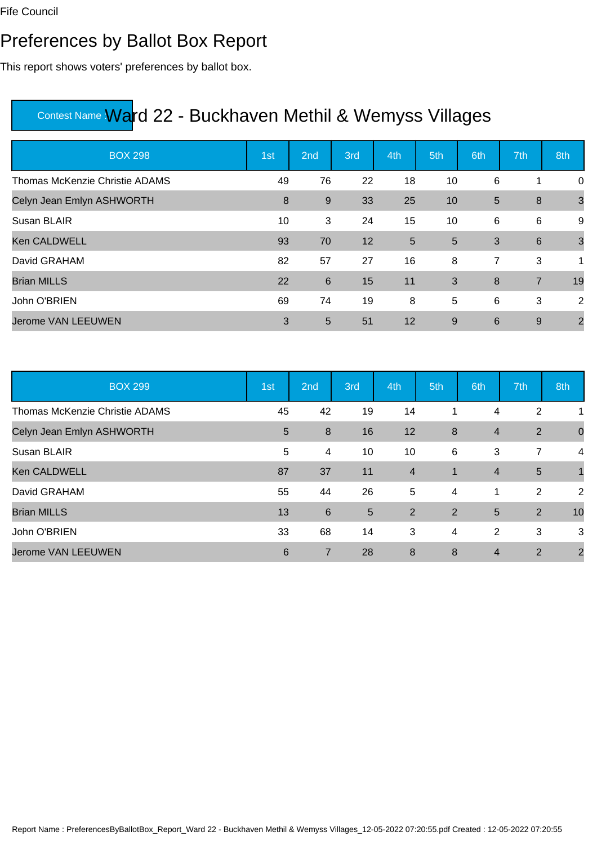### Preferences by Ballot Box Report

This report shows voters' preferences by ballot box.

| <b>BOX 298</b>                        | 1st | 2nd   | 3rd | 4th | 5th            | 6th | 7th              | 8th            |
|---------------------------------------|-----|-------|-----|-----|----------------|-----|------------------|----------------|
| <b>Thomas McKenzie Christie ADAMS</b> | 49  | 76    | 22  | 18  | 10             | 6   | 1                | 0              |
| Celyn Jean Emlyn ASHWORTH             | 8   | $9\,$ | 33  | 25  | 10             | 5   | $\boldsymbol{8}$ | $\mathbf{3}$   |
| Susan BLAIR                           | 10  | 3     | 24  | 15  | 10             | 6   | 6                | 9              |
| <b>Ken CALDWELL</b>                   | 93  | 70    | 12  | 5   | $5\phantom{1}$ | 3   | 6                | $\mathbf{3}$   |
| David GRAHAM                          | 82  | 57    | 27  | 16  | 8              | 7   | 3                | 1              |
| <b>Brian MILLS</b>                    | 22  | $\,6$ | 15  | 11  | 3              | 8   | $\overline{7}$   | 19             |
| John O'BRIEN                          | 69  | 74    | 19  | 8   | 5              | 6   | 3                | 2              |
| <b>Jerome VAN LEEUWEN</b>             | 3   | 5     | 51  | 12  | 9              | 6   | 9                | $\overline{2}$ |

| <b>BOX 299</b>                 | 1st | 2nd              | 3rd            | 4th                     | 5th            | 6th            | 7th            | 8th            |
|--------------------------------|-----|------------------|----------------|-------------------------|----------------|----------------|----------------|----------------|
| Thomas McKenzie Christie ADAMS | 45  | 42               | 19             | 14                      | 1              | 4              | $\overline{2}$ | 1              |
| Celyn Jean Emlyn ASHWORTH      | 5   | $\boldsymbol{8}$ | 16             | 12                      | 8              | $\overline{4}$ | 2              | $\mathbf 0$    |
| Susan BLAIR                    | 5   | $\overline{4}$   | 10             | 10                      | 6              | 3              | 7              | 4              |
| <b>Ken CALDWELL</b>            | 87  | 37               | 11             | $\overline{\mathbf{4}}$ | $\mathbf 1$    | $\overline{4}$ | $5\phantom{1}$ | $\overline{1}$ |
| David GRAHAM                   | 55  | 44               | 26             | 5                       | $\overline{4}$ | $\mathbf 1$    | $\overline{2}$ | $\overline{2}$ |
| <b>Brian MILLS</b>             | 13  | $6\phantom{1}6$  | $5\phantom{1}$ | 2                       | 2              | 5              | 2              | 10             |
| John O'BRIEN                   | 33  | 68               | 14             | 3                       | 4              | 2              | 3              | 3              |
| Jerome VAN LEEUWEN             | 6   | 7                | 28             | 8                       | 8              | 4              | $\overline{2}$ | $\overline{2}$ |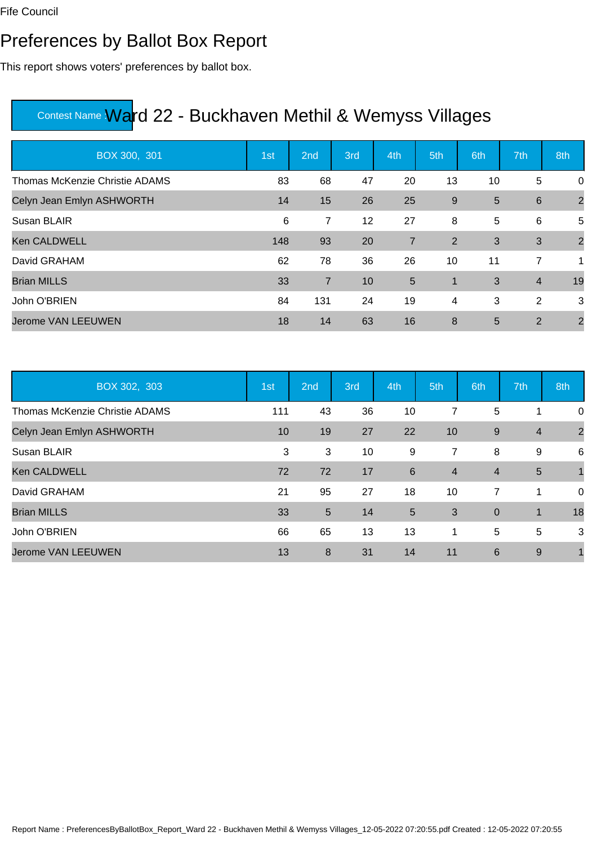### Preferences by Ballot Box Report

This report shows voters' preferences by ballot box.

| BOX 300, 301                   | 1st | 2nd            | 3rd | 4th            | 5th            | 6th | 7th             | 8th            |
|--------------------------------|-----|----------------|-----|----------------|----------------|-----|-----------------|----------------|
| Thomas McKenzie Christie ADAMS | 83  | 68             | 47  | 20             | 13             | 10  | 5               | 0              |
| Celyn Jean Emlyn ASHWORTH      | 14  | 15             | 26  | 25             | 9              | 5   | $6\phantom{1}6$ | $\overline{2}$ |
| Susan BLAIR                    | 6   | 7              | 12  | 27             | 8              | 5   | 6               | 5              |
| <b>Ken CALDWELL</b>            | 148 | 93             | 20  | $\overline{7}$ | 2              | 3   | 3               | $\overline{2}$ |
| David GRAHAM                   | 62  | 78             | 36  | 26             | 10             | 11  | 7               | 1              |
| <b>Brian MILLS</b>             | 33  | $\overline{7}$ | 10  | 5              | $\mathbf 1$    | 3   | $\overline{4}$  | 19             |
| John O'BRIEN                   | 84  | 131            | 24  | 19             | $\overline{4}$ | 3   | 2               | 3              |
| <b>Jerome VAN LEEUWEN</b>      | 18  | 14             | 63  | 16             | 8              | 5   | 2               | $\overline{2}$ |

| BOX 302, 303                   | 1st | 2nd            | 3rd | 4th | 5th            | 6th            | 7th            | 8th            |
|--------------------------------|-----|----------------|-----|-----|----------------|----------------|----------------|----------------|
| Thomas McKenzie Christie ADAMS | 111 | 43             | 36  | 10  | 7              | 5              | 1              | 0              |
| Celyn Jean Emlyn ASHWORTH      | 10  | 19             | 27  | 22  | 10             | 9              | $\overline{4}$ | $\overline{2}$ |
| Susan BLAIR                    | 3   | 3              | 10  | 9   | $\overline{7}$ | 8              | 9              | $\,6$          |
| <b>Ken CALDWELL</b>            | 72  | 72             | 17  | 6   | $\overline{4}$ | $\overline{4}$ | 5              |                |
| David GRAHAM                   | 21  | 95             | 27  | 18  | 10             | $\overline{7}$ | 1              | 0              |
| <b>Brian MILLS</b>             | 33  | $5\phantom{1}$ | 14  | 5   | 3              | $\overline{0}$ | $\mathbf 1$    | 18             |
| John O'BRIEN                   | 66  | 65             | 13  | 13  | $\mathbf 1$    | 5              | 5              | 3              |
| <b>Jerome VAN LEEUWEN</b>      | 13  | 8              | 31  | 14  | 11             | 6              | 9              |                |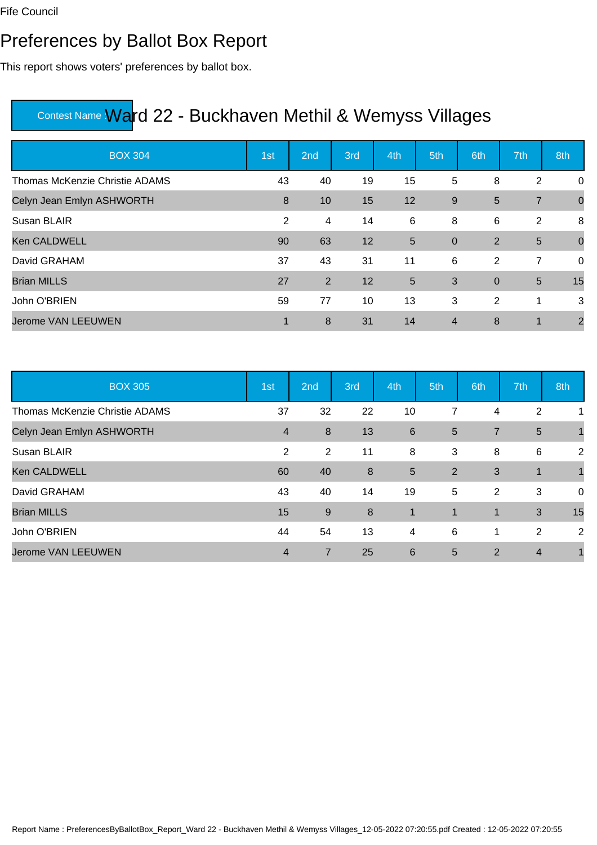#### Preferences by Ballot Box Report

This report shows voters' preferences by ballot box.

| <b>BOX 304</b>                        | 1st | 2 <sub>nd</sub> | 3rd | 4th   | 5th            | 6th         | 7th            | 8th            |
|---------------------------------------|-----|-----------------|-----|-------|----------------|-------------|----------------|----------------|
| <b>Thomas McKenzie Christie ADAMS</b> | 43  | 40              | 19  | 15    | 5              | 8           | $\overline{2}$ | 0              |
| Celyn Jean Emlyn ASHWORTH             | 8   | 10              | 15  | 12    | 9              | 5           | $\overline{7}$ | $\overline{0}$ |
| Susan BLAIR                           | 2   | 4               | 14  | $\,6$ | 8              | 6           | 2              | 8              |
| <b>Ken CALDWELL</b>                   | 90  | 63              | 12  | 5     | $\overline{0}$ | 2           | 5              | $\mathbf 0$    |
| David GRAHAM                          | 37  | 43              | 31  | 11    | 6              | 2           | 7              | 0              |
| <b>Brian MILLS</b>                    | 27  | $\overline{2}$  | 12  | 5     | 3              | $\mathbf 0$ | 5              | 15             |
| John O'BRIEN                          | 59  | 77              | 10  | 13    | 3              | 2           | 1              | 3              |
| <b>Jerome VAN LEEUWEN</b>             | 1   | 8               | 31  | 14    | $\overline{4}$ | 8           | 1              | $\overline{2}$ |

| <b>BOX 305</b>                 | 1st            | 2nd              | 3rd | 4th         | 5th            | 6th            | 7th            | 8th            |
|--------------------------------|----------------|------------------|-----|-------------|----------------|----------------|----------------|----------------|
| Thomas McKenzie Christie ADAMS | 37             | 32               | 22  | 10          | 7              | 4              | 2              |                |
| Celyn Jean Emlyn ASHWORTH      | $\overline{4}$ | $\boldsymbol{8}$ | 13  | 6           | $5\phantom{1}$ | $\overline{7}$ | $5\phantom{1}$ |                |
| Susan BLAIR                    | 2              | $\overline{2}$   | 11  | 8           | 3              | 8              | 6              | $\overline{2}$ |
| <b>Ken CALDWELL</b>            | 60             | 40               | 8   | 5           | 2              | 3              | 1              |                |
| David GRAHAM                   | 43             | 40               | 14  | 19          | 5              | 2              | 3              | 0              |
| <b>Brian MILLS</b>             | 15             | 9                | 8   | $\mathbf 1$ | $\mathbf{1}$   | $\mathbf 1$    | 3              | 15             |
| John O'BRIEN                   | 44             | 54               | 13  | 4           | 6              | 1              | 2              | 2              |
| <b>Jerome VAN LEEUWEN</b>      | $\overline{4}$ | 7                | 25  | 6           | 5              | $\overline{2}$ | $\overline{4}$ |                |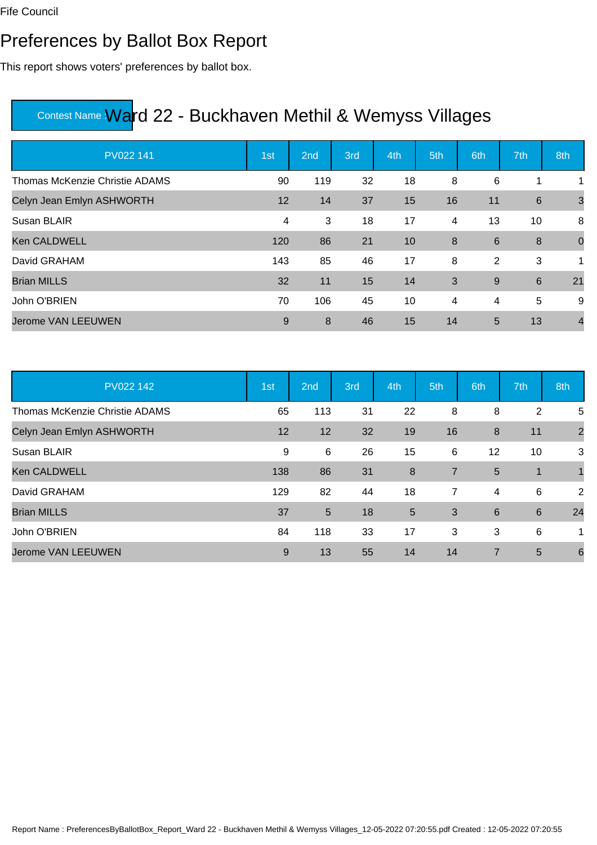#### Preferences by Ballot Box Report

This report shows voters' preferences by ballot box.

| PV022 141                      | 1st | 2nd | 3rd | 4th | 5th            | 6th   | 7th             | 8th            |
|--------------------------------|-----|-----|-----|-----|----------------|-------|-----------------|----------------|
| Thomas McKenzie Christie ADAMS | 90  | 119 | 32  | 18  | 8              | 6     | 1               | 1              |
| Celyn Jean Emlyn ASHWORTH      | 12  | 14  | 37  | 15  | 16             | 11    | $6\phantom{1}6$ | $\mathbf{3}$   |
| Susan BLAIR                    | 4   | 3   | 18  | 17  | 4              | 13    | 10              | 8              |
| <b>Ken CALDWELL</b>            | 120 | 86  | 21  | 10  | 8              | 6     | 8               | $\mathbf 0$    |
| David GRAHAM                   | 143 | 85  | 46  | 17  | 8              | 2     | 3               | 1              |
| <b>Brian MILLS</b>             | 32  | 11  | 15  | 14  | 3              | $9\,$ | $6\phantom{1}6$ | 21             |
| John O'BRIEN                   | 70  | 106 | 45  | 10  | $\overline{4}$ | 4     | 5               | 9              |
| Jerome VAN LEEUWEN             | 9   | 8   | 46  | 15  | 14             | 5     | 13              | $\overline{4}$ |

| PV022 142                      | 1st | 2nd | 3rd | 4th              | 5th            | 6th | 7th            | 8th             |
|--------------------------------|-----|-----|-----|------------------|----------------|-----|----------------|-----------------|
| Thomas McKenzie Christie ADAMS | 65  | 113 | 31  | 22               | 8              | 8   | $\overline{2}$ | 5               |
| Celyn Jean Emlyn ASHWORTH      | 12  | 12  | 32  | 19               | 16             | 8   | 11             | $\overline{2}$  |
| Susan BLAIR                    | 9   | 6   | 26  | 15               | 6              | 12  | 10             | 3               |
| <b>Ken CALDWELL</b>            | 138 | 86  | 31  | $\boldsymbol{8}$ | $\overline{7}$ | 5   | $\mathbf 1$    |                 |
| David GRAHAM                   | 129 | 82  | 44  | 18               | $\overline{7}$ | 4   | 6              | $\overline{2}$  |
| <b>Brian MILLS</b>             | 37  | 5   | 18  | $5\phantom{.0}$  | 3              | 6   | 6              | 24              |
| John O'BRIEN                   | 84  | 118 | 33  | 17               | 3              | 3   | 6              | 1               |
| Jerome VAN LEEUWEN             | 9   | 13  | 55  | 14               | 14             | 7   | 5              | $6\phantom{1}6$ |